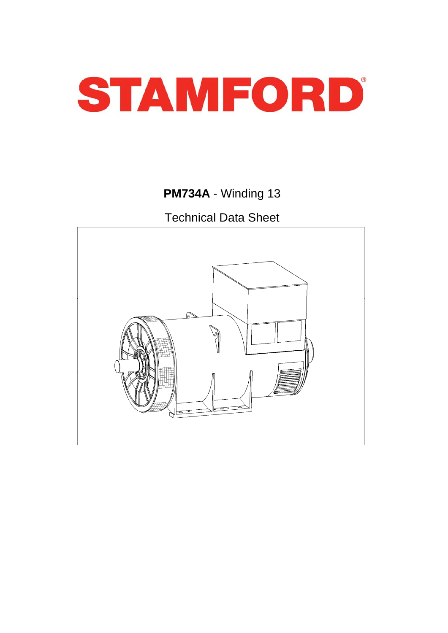

# **PM734A** - Winding 13

Technical Data Sheet

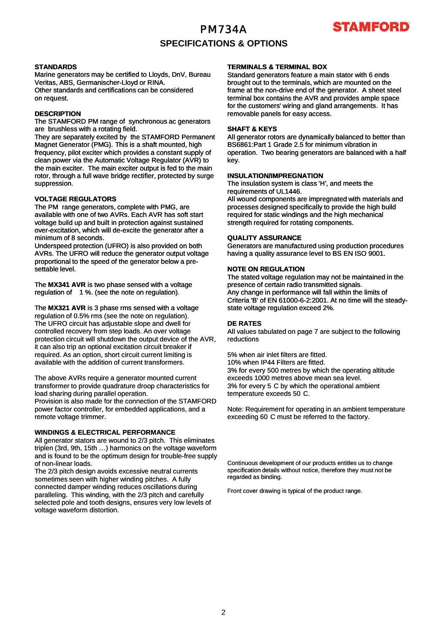# PM734A **SPECIFICATIONS & OPTIONS**



### **STANDARDS**

Marine generators may be certified to Lloyds, DnV, Bureau Veritas, ABS, Germanischer-Lloyd or RINA. Other standards and certifications can be considered on request.

### **DESCRIPTION**

The STAMFORD PM range of synchronous ac generators are brushless with a rotating field.

They are separately excited by the STAMFORD Permanent Magnet Generator (PMG). This is a shaft mounted, high frequency, pilot exciter which provides a constant supply of clean power via the Automatic Voltage Regulator (AVR) to the main exciter. The main exciter output is fed to the main rotor, through a full wave bridge rectifier, protected by surge suppression.

### **VOLTAGE REGULATORS**

The PM range generators, complete with PMG, are available with one of two AVRs. Each AVR has soft start voltage build up and built in protection against sustained over-excitation, which will de-excite the generator after a minimum of 8 seconds.

Underspeed protection (UFRO) is also provided on both AVRs. The UFRO will reduce the generator output voltage proportional to the speed of the generator below a presettable level.

The **MX341 AVR** is two phase sensed with a voltage regulation of 1 %. (see the note on regulation).

The **MX321 AVR** is 3 phase rms sensed with a voltage regulation of 0.5% rms (see the note on regulation). The UFRO circuit has adjustable slope and dwell for controlled recovery from step loads. An over voltage protection circuit will shutdown the output device of the AVR, it can also trip an optional excitation circuit breaker if required. As an option, short circuit current limiting is available with the addition of current transformers.

The above AVRs require a generator mounted current transformer to provide quadrature droop characteristics for load sharing during parallel operation.

Provision is also made for the connection of the STAMFORD power factor controller, for embedded applications, and a remote voltage trimmer.

### **WINDINGS & ELECTRICAL PERFORMANCE**

All generator stators are wound to 2/3 pitch. This eliminates triplen (3rd, 9th, 15th …) harmonics on the voltage waveform and is found to be the optimum design for trouble-free supply of non-linear loads.

The 2/3 pitch design avoids excessive neutral currents sometimes seen with higher winding pitches. A fully connected damper winding reduces oscillations during paralleling. This winding, with the 2/3 pitch and carefully selected pole and tooth designs, ensures very low levels of voltage waveform distortion.

### **TERMINALS & TERMINAL BOX**

Standard generators feature a main stator with 6 ends brought out to the terminals, which are mounted on the frame at the non-drive end of the generator. A sheet steel terminal box contains the AVR and provides ample space for the customers' wiring and gland arrangements. It has removable panels for easy access.

### **SHAFT & KEYS**

All generator rotors are dynamically balanced to better than BS6861:Part 1 Grade 2.5 for minimum vibration in operation. Two bearing generators are balanced with a half key.

#### **INSULATION/IMPREGNATION**

The insulation system is class 'H', and meets the requirements of UL1446.

All wound components are impregnated with materials and processes designed specifically to provide the high build required for static windings and the high mechanical strength required for rotating components.

#### **QUALITY ASSURANCE**

Generators are manufactured using production procedures having a quality assurance level to BS EN ISO 9001.

### **NOTE ON REGULATION**

The stated voltage regulation may not be maintained in the presence of certain radio transmitted signals. Any change in performance will fall within the limits of Criteria 'B' of EN 61000-6-2:2001. At no time will the steadystate voltage regulation exceed 2%.

#### **DE RATES**

All values tabulated on page 7 are subject to the following reductions

5% when air inlet filters are fitted. 10% when IP44 Filters are fitted. 3% for every 500 metres by which the operating altitude exceeds 1000 metres above mean sea level. 3% for every 5 C by which the operational ambient temperature exceeds 50 C.

Note: Requirement for operating in an ambient temperature exceeding 60 C must be referred to the factory.

Continuous development of our products entitles us to change specification details without notice, therefore they must not be regarded as binding.

Front cover drawing is typical of the product range.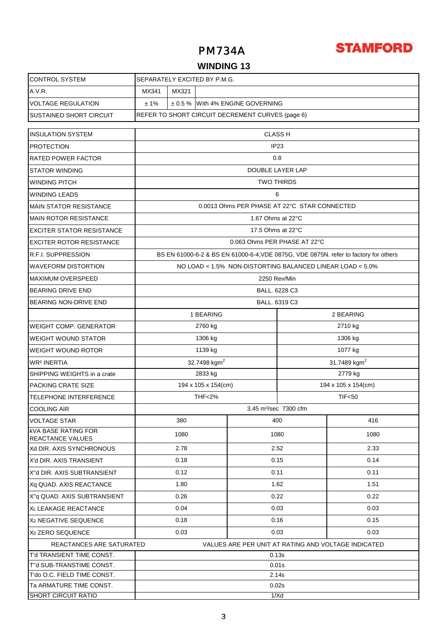

## **WINDING 13**

| <b>CONTROL SYSTEM</b>                               | SEPARATELY EXCITED BY P.M.G.                                                         |                                                      |      |                                  |                     |                  |  |  |
|-----------------------------------------------------|--------------------------------------------------------------------------------------|------------------------------------------------------|------|----------------------------------|---------------------|------------------|--|--|
| A.V.R.                                              | MX321<br>MX341                                                                       |                                                      |      |                                  |                     |                  |  |  |
| <b>VOLTAGE REGULATION</b>                           | ± 1%                                                                                 |                                                      |      | ± 0.5 % With 4% ENGINE GOVERNING |                     |                  |  |  |
| <b>SUSTAINED SHORT CIRCUIT</b>                      | REFER TO SHORT CIRCUIT DECREMENT CURVES (page 6)                                     |                                                      |      |                                  |                     |                  |  |  |
|                                                     |                                                                                      |                                                      |      |                                  |                     |                  |  |  |
| <b>INSULATION SYSTEM</b>                            | <b>CLASS H</b>                                                                       |                                                      |      |                                  |                     |                  |  |  |
| <b>PROTECTION</b>                                   | IP <sub>23</sub>                                                                     |                                                      |      |                                  |                     |                  |  |  |
| <b>RATED POWER FACTOR</b>                           | 0.8                                                                                  |                                                      |      |                                  |                     |                  |  |  |
| <b>STATOR WINDING</b>                               | DOUBLE LAYER LAP                                                                     |                                                      |      |                                  |                     |                  |  |  |
| <b>WINDING PITCH</b>                                | <b>TWO THIRDS</b>                                                                    |                                                      |      |                                  |                     |                  |  |  |
| <b>WINDING LEADS</b>                                | 6                                                                                    |                                                      |      |                                  |                     |                  |  |  |
| <b>MAIN STATOR RESISTANCE</b>                       | 0.0013 Ohms PER PHASE AT 22°C STAR CONNECTED                                         |                                                      |      |                                  |                     |                  |  |  |
| <b>MAIN ROTOR RESISTANCE</b>                        | 1.67 Ohms at 22°C                                                                    |                                                      |      |                                  |                     |                  |  |  |
| <b>EXCITER STATOR RESISTANCE</b>                    | 17.5 Ohms at 22°C                                                                    |                                                      |      |                                  |                     |                  |  |  |
| <b>EXCITER ROTOR RESISTANCE</b>                     | 0.063 Ohms PER PHASE AT 22°C                                                         |                                                      |      |                                  |                     |                  |  |  |
| <b>R.F.I. SUPPRESSION</b>                           | BS EN 61000-6-2 & BS EN 61000-6-4, VDE 0875G, VDE 0875N. refer to factory for others |                                                      |      |                                  |                     |                  |  |  |
| <b>WAVEFORM DISTORTION</b>                          | NO LOAD < 1.5% NON-DISTORTING BALANCED LINEAR LOAD < 5.0%                            |                                                      |      |                                  |                     |                  |  |  |
| <b>MAXIMUM OVERSPEED</b>                            | 2250 Rev/Min                                                                         |                                                      |      |                                  |                     |                  |  |  |
| <b>BEARING DRIVE END</b>                            | <b>BALL. 6228 C3</b>                                                                 |                                                      |      |                                  |                     |                  |  |  |
| BEARING NON-DRIVE END                               | BALL. 6319 C3                                                                        |                                                      |      |                                  |                     |                  |  |  |
|                                                     | 1 BEARING<br>2 BEARING                                                               |                                                      |      |                                  |                     |                  |  |  |
| <b>WEIGHT COMP. GENERATOR</b>                       | 2760 kg                                                                              |                                                      |      |                                  | 2710 kg             |                  |  |  |
| <b>WEIGHT WOUND STATOR</b>                          | 1306 kg                                                                              |                                                      |      |                                  | 1306 kg             |                  |  |  |
| <b>WEIGHT WOUND ROTOR</b>                           | 1139 kg                                                                              |                                                      |      |                                  | 1077 kg             |                  |  |  |
| WR <sup>2</sup> INERTIA                             |                                                                                      | 32.7498 kgm <sup>2</sup><br>31.7489 kgm <sup>2</sup> |      |                                  |                     |                  |  |  |
| SHIPPING WEIGHTS in a crate                         | 2833 kg<br>2779 kg                                                                   |                                                      |      |                                  |                     |                  |  |  |
| <b>PACKING CRATE SIZE</b>                           | 194 x 105 x 154(cm)                                                                  |                                                      |      |                                  | 194 x 105 x 154(cm) |                  |  |  |
| <b>TELEPHONE INTERFERENCE</b>                       | <b>THF&lt;2%</b>                                                                     |                                                      |      |                                  |                     | <b>TIF&lt;50</b> |  |  |
| <b>COOLING AIR</b>                                  | 3.45 m <sup>3</sup> /sec 7300 cfm                                                    |                                                      |      |                                  |                     |                  |  |  |
| <b>VOLTAGE STAR</b>                                 | 380                                                                                  |                                                      |      |                                  | 400                 | 416              |  |  |
| <b>kVA BASE RATING FOR</b>                          | 1080                                                                                 |                                                      | 1080 |                                  | 1080                |                  |  |  |
| <b>REACTANCE VALUES</b><br>Xd DIR. AXIS SYNCHRONOUS | 2.78                                                                                 |                                                      | 2.52 |                                  | 2.33                |                  |  |  |
| X'd DIR. AXIS TRANSIENT                             | 0.18                                                                                 |                                                      | 0.15 |                                  | 0.14                |                  |  |  |
| X"d DIR. AXIS SUBTRANSIENT                          | 0.12                                                                                 |                                                      | 0.11 |                                  | 0.11                |                  |  |  |
| Xq QUAD. AXIS REACTANCE                             | 1.80                                                                                 |                                                      | 1.62 |                                  | 1.51                |                  |  |  |
| X"q QUAD. AXIS SUBTRANSIENT                         | 0.26                                                                                 |                                                      | 0.22 |                                  | 0.22                |                  |  |  |
| XL LEAKAGE REACTANCE                                | 0.04                                                                                 |                                                      | 0.03 |                                  | 0.03                |                  |  |  |
| X <sub>2</sub> NEGATIVE SEQUENCE                    | 0.18                                                                                 |                                                      | 0.16 |                                  | 0.15                |                  |  |  |
| X <sub>0</sub> ZERO SEQUENCE                        | 0.03                                                                                 |                                                      |      |                                  | 0.03                |                  |  |  |
| REACTANCES ARE SATURATED                            | 0.03                                                                                 |                                                      |      |                                  |                     |                  |  |  |
| T'd TRANSIENT TIME CONST.                           | VALUES ARE PER UNIT AT RATING AND VOLTAGE INDICATED<br>0.13s                         |                                                      |      |                                  |                     |                  |  |  |
| T"d SUB-TRANSTIME CONST.                            |                                                                                      |                                                      |      |                                  | 0.01s               |                  |  |  |
| T'do O.C. FIELD TIME CONST.                         | 2.14s                                                                                |                                                      |      |                                  |                     |                  |  |  |
| Ta ARMATURE TIME CONST.                             | 0.02s                                                                                |                                                      |      |                                  |                     |                  |  |  |
| <b>SHORT CIRCUIT RATIO</b>                          | 1/Xd                                                                                 |                                                      |      |                                  |                     |                  |  |  |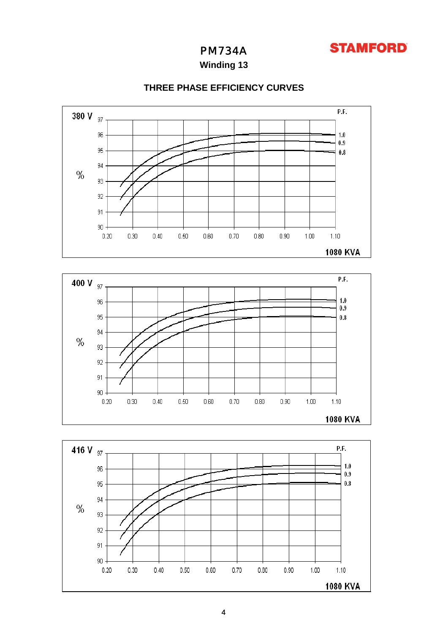

**Winding 13**



### **THREE PHASE EFFICIENCY CURVES**



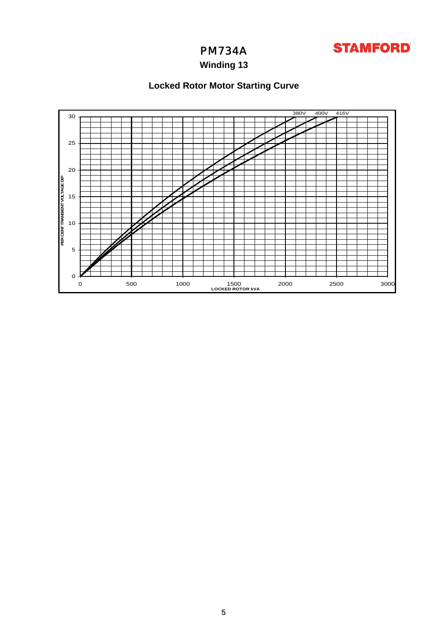

# **Winding 13**

# **Locked Rotor Motor Starting Curve**

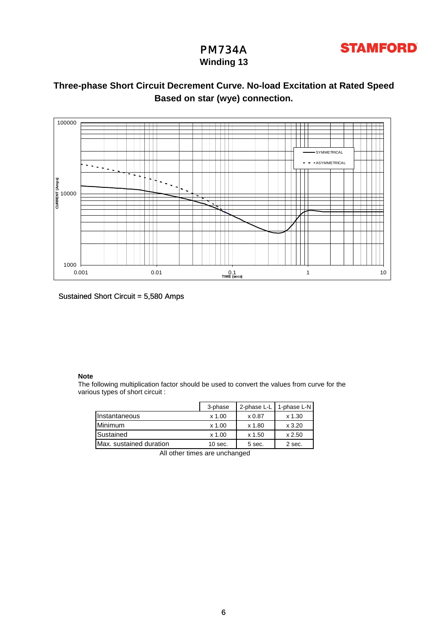

## PM734A **Winding 13**

## **Three-phase Short Circuit Decrement Curve. No-load Excitation at Rated Speed Based on star (wye) connection.**



Sustained Short Circuit = 5,580 Amps

### **Note**

The following multiplication factor should be used to convert the values from curve for the various types of short circuit :

|                         | 3-phase   | 2-phase L-L | 1-phase L-N   |
|-------------------------|-----------|-------------|---------------|
| Instantaneous           | x 1.00    | x 0.87      | $x$ 1.30      |
| Minimum                 | $x$ 1.00  | x 1.80      | $\times$ 3.20 |
| Sustained               | $x$ 1.00  | x 1.50      | x 2.50        |
| Max. sustained duration | $10$ sec. | 5 sec.      | 2 sec.        |

All other times are unchanged